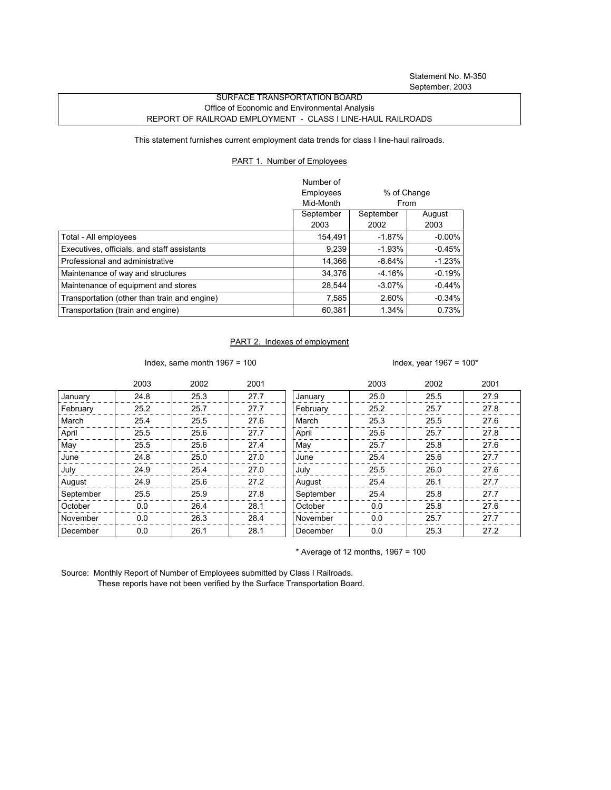Statement No. M-350 September, 2003

## SURFACE TRANSPORTATION BOARD Office of Economic and Environmental Analysis REPORT OF RAILROAD EMPLOYMENT - CLASS I LINE-HAUL RAILROADS

This statement furnishes current employment data trends for class I line-haul railroads.

## PART 1. Number of Employees

|                                              | Number of |             |           |
|----------------------------------------------|-----------|-------------|-----------|
|                                              | Employees | % of Change |           |
|                                              | Mid-Month | From        |           |
|                                              | September | September   | August    |
|                                              | 2003      | 2002        | 2003      |
| Total - All employees                        | 154,491   | $-1.87%$    | $-0.00\%$ |
| Executives, officials, and staff assistants  | 9,239     | $-1.93%$    | $-0.45%$  |
| Professional and administrative              | 14.366    | $-8.64%$    | $-1.23%$  |
| Maintenance of way and structures            | 34.376    | $-4.16%$    | $-0.19%$  |
| Maintenance of equipment and stores          | 28.544    | $-3.07\%$   | $-0.44\%$ |
| Transportation (other than train and engine) | 7,585     | 2.60%       | $-0.34%$  |
| Transportation (train and engine)            | 60,381    | 1.34%       | 0.73%     |

## PART 2. Indexes of employment

Index, same month 1967 = 100  $\blacksquare$ 

|           | 2003 | 2002 | 2001 |           | 2003 | 2002 | 2001 |
|-----------|------|------|------|-----------|------|------|------|
| January   | 24.8 | 25.3 | 27.7 | January   | 25.0 | 25.5 | 27.9 |
| February  | 25.2 | 25.7 | 27.7 | February  | 25.2 | 25.7 | 27.8 |
| March     | 25.4 | 25.5 | 27.6 | March     | 25.3 | 25.5 | 27.6 |
| April     | 25.5 | 25.6 | 27.7 | April     | 25.6 | 25.7 | 27.8 |
| May       | 25.5 | 25.6 | 27.4 | May       | 25.7 | 25.8 | 27.6 |
| June      | 24.8 | 25.0 | 27.0 | June      | 25.4 | 25.6 | 27.7 |
| July      | 24.9 | 25.4 | 27.0 | July      | 25.5 | 26.0 | 27.6 |
| August    | 24.9 | 25.6 | 27.2 | August    | 25.4 | 26.1 | 27.7 |
| September | 25.5 | 25.9 | 27.8 | September | 25.4 | 25.8 | 27.7 |
| October   | 0.0  | 26.4 | 28.1 | October   | 0.0  | 25.8 | 27.6 |
| November  | 0.0  | 26.3 | 28.4 | November  | 0.0  | 25.7 | 27.7 |
| December  | 0.0  | 26.1 | 28.1 | December  | 0.0  | 25.3 | 27.2 |

 $*$  Average of 12 months, 1967 = 100

Source: Monthly Report of Number of Employees submitted by Class I Railroads. These reports have not been verified by the Surface Transportation Board.